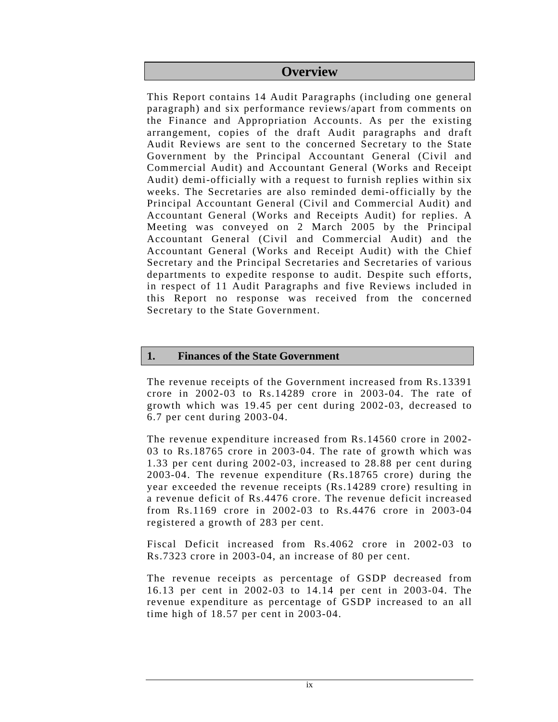# **Overview**

This Report contains 14 Audit Paragraphs (including one general paragraph) and six performance reviews/apart from comments on the Finance and Appropriation Accounts. As per the existing arrangement, copies of the draft Audit paragraphs and draft Audit Reviews are sent to the concerned Secretary to the State Government by the Principal Accountant General (Civil and Commercial Audit) and Accountant General (Works and Receipt Audit) demi-officially with a request to furnish replies within six weeks. The Secretaries are also reminded demi-officially by the Principal Accountant General (Civil and Commercial Audit) and Accountant General (Works and Receipts Audit) for replies. A Meeting was conveyed on 2 March 2005 by the Principal Accountant General (Civil and Commercial Audit) and the Accountant General (Works and Receipt Audit) with the Chief Secretary and the Principal Secretaries and Secretaries of various departments to expedite response to audit. Despite such efforts, in respect of 11 Audit Paragraphs and five Reviews included in this Report no response was received from the concerned Secretary to the State Government.

# **1. Finances of the State Government**

The revenue receipts of the Government increased from Rs.13391 crore in 2002-03 to Rs.14289 crore in 2003-04. The rate of growth which was 19.45 per cent during 2002-03, decreased to 6.7 per cent during 2003-04.

The revenue expenditure increased from Rs.14560 crore in 2002- 03 to Rs.18765 crore in 2003-04. The rate of growth which was 1.33 per cent during 2002-03, increased to 28.88 per cent during 2003-04. The revenue expenditure (Rs.18765 crore) during the year exceeded the revenue receipts (Rs.14289 crore) resulting in a revenue deficit of Rs.4476 crore. The revenue deficit increased from Rs.1169 crore in 2002-03 to Rs.4476 crore in 2003-04 registered a growth of 283 per cent.

Fiscal Deficit increased from Rs.4062 crore in 2002-03 to Rs.7323 crore in 2003-04, an increase of 80 per cent.

The revenue receipts as percentage of GSDP decreased from 16.13 per cent in 2002-03 to 14.14 per cent in 2003-04. The revenue expenditure as percentage of GSDP increased to an all time high of 18.57 per cent in 2003-04.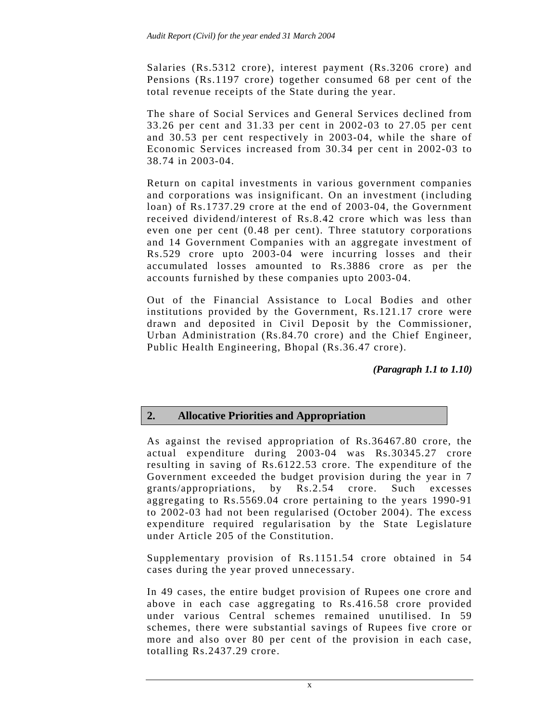Salaries (Rs.5312 crore), interest payment (Rs.3206 crore) and Pensions (Rs.1197 crore) together consumed 68 per cent of the total revenue receipts of the State during the year.

The share of Social Services and General Services declined from 33.26 per cent and 31.33 per cent in 2002-03 to 27.05 per cent and 30.53 per cent respectively in 2003-04, while the share of Economic Services increased from 30.34 per cent in 2002-03 to 38.74 in 2003-04.

Return on capital investments in various government companies and corporations was insignificant. On an investment (including loan) of Rs.1737.29 crore at the end of 2003-04, the Government received dividend/interest of Rs.8.42 crore which was less than even one per cent (0.48 per cent). Three statutory corporations and 14 Government Companies with an aggregate investment of Rs.529 crore upto 2003-04 were incurring losses and their accumulated losses amounted to Rs.3886 crore as per the accounts furnished by these companies upto 2003-04.

Out of the Financial Assistance to Local Bodies and other institutions provided by the Government, Rs.121.17 crore were drawn and deposited in Civil Deposit by the Commissioner, Urban Administration (Rs.84.70 crore) and the Chief Engineer, Public Health Engineering, Bhopal (Rs.36.47 crore).

*(Paragraph 1.1 to 1.10)* 

# **2. Allocative Priorities and Appropriation**

As against the revised appropriation of Rs.36467.80 crore, the actual expenditure during 2003-04 was Rs.30345.27 crore resulting in saving of Rs.6122.53 crore. The expenditure of the Government exceeded the budget provision during the year in 7 grants/appropriations, by Rs.2.54 crore. Such excesses aggregating to Rs.5569.04 crore pertaining to the years 1990-91 to 2002-03 had not been regularised (October 2004). The excess expenditure required regularisation by the State Legislature under Article 205 of the Constitution.

Supplementary provision of Rs.1151.54 crore obtained in 54 cases during the year proved unnecessary.

In 49 cases, the entire budget provision of Rupees one crore and above in each case aggregating to Rs.416.58 crore provided under various Central schemes remained unutilised. In 59 schemes, there were substantial savings of Rupees five crore or more and also over 80 per cent of the provision in each case, totalling Rs.2437.29 crore.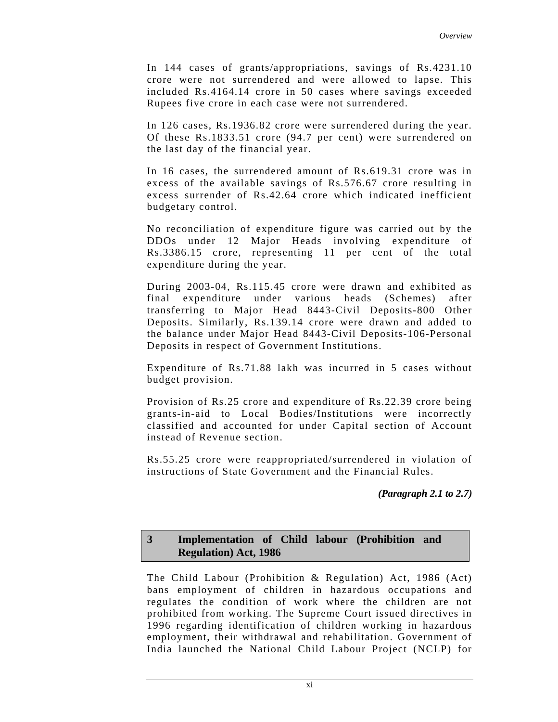In 144 cases of grants/appropriations, savings of Rs.4231.10 crore were not surrendered and were allowed to lapse. This included Rs.4164.14 crore in 50 cases where savings exceeded Rupees five crore in each case were not surrendered.

In 126 cases, Rs.1936.82 crore were surrendered during the year. Of these Rs.1833.51 crore (94.7 per cent) were surrendered on the last day of the financial year.

In 16 cases, the surrendered amount of Rs.619.31 crore was in excess of the available savings of Rs.576.67 crore resulting in excess surrender of Rs.42.64 crore which indicated inefficient budgetary control.

No reconciliation of expenditure figure was carried out by the DDOs under 12 Major Heads involving expenditure of Rs.3386.15 crore, representing 11 per cent of the total expenditure during the year.

During 2003-04, Rs.115.45 crore were drawn and exhibited as final expenditure under various heads (Schemes) after transferring to Major Head 8443-Civil Deposits-800 Other Deposits. Similarly, Rs.139.14 crore were drawn and added to the balance under Major Head 8443-Civil Deposits-106-Personal Deposits in respect of Government Institutions.

Expenditure of Rs.71.88 lakh was incurred in 5 cases without budget provision.

Provision of Rs.25 crore and expenditure of Rs.22.39 crore being grants-in-aid to Local Bodies/Institutions were incorrectly classified and accounted for under Capital section of Account instead of Revenue section.

Rs.55.25 crore were reappropriated/surrendered in violation of instructions of State Government and the Financial Rules.

*(Paragraph 2.1 to 2.7)* 

### **3 Implementation of Child labour (Prohibition and Regulation) Act, 1986**

The Child Labour (Prohibition & Regulation) Act, 1986 (Act) bans employment of children in hazardous occupations and regulates the condition of work where the children are not prohibited from working. The Supreme Court issued directives in 1996 regarding identification of children working in hazardous employment, their withdrawal and rehabilitation. Government of India launched the National Child Labour Project (NCLP) for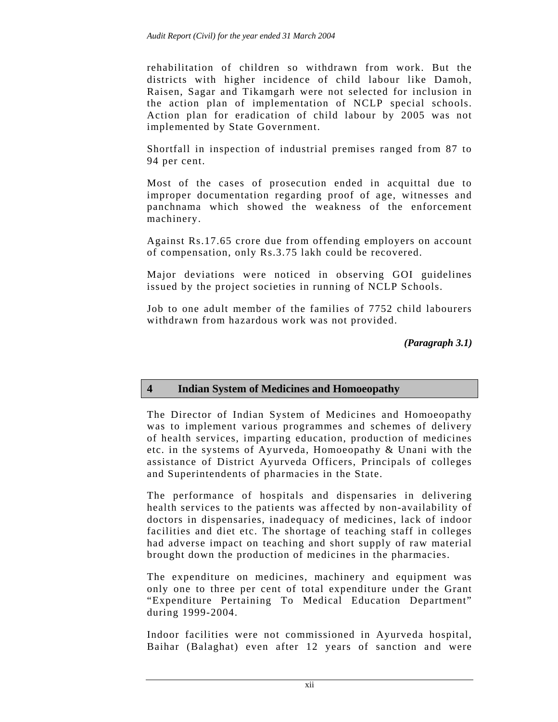rehabilitation of children so withdrawn from work. But the districts with higher incidence of child labour like Damoh, Raisen, Sagar and Tikamgarh were not selected for inclusion in the action plan of implementation of NCLP special schools. Action plan for eradication of child labour by 2005 was not implemented by State Government.

Shortfall in inspection of industrial premises ranged from 87 to 94 per cent.

Most of the cases of prosecution ended in acquittal due to improper documentation regarding proof of age, witnesses and panchnama which showed the weakness of the enforcement machinery.

Against Rs.17.65 crore due from offending employers on account of compensation, only Rs.3.75 lakh could be recovered.

Major deviations were noticed in observing GOI guidelines issued by the project societies in running of NCLP Schools.

Job to one adult member of the families of 7752 child labourers withdrawn from hazardous work was not provided.

*(Paragraph 3.1)* 

# **4 Indian System of Medicines and Homoeopathy**

The Director of Indian System of Medicines and Homoeopathy was to implement various programmes and schemes of delivery of health services, imparting education, production of medicines etc. in the systems of Ayurveda, Homoeopathy & Unani with the assistance of District Ayurveda Officers, Principals of colleges and Superintendents of pharmacies in the State.

The performance of hospitals and dispensaries in delivering health services to the patients was affected by non-availability of doctors in dispensaries, inadequacy of medicines, lack of indoor facilities and diet etc. The shortage of teaching staff in colleges had adverse impact on teaching and short supply of raw material brought down the production of medicines in the pharmacies.

The expenditure on medicines, machinery and equipment was only one to three per cent of total expenditure under the Grant "Expenditure Pertaining To Medical Education Department" during 1999-2004.

Indoor facilities were not commissioned in Ayurveda hospital, Baihar (Balaghat) even after 12 years of sanction and were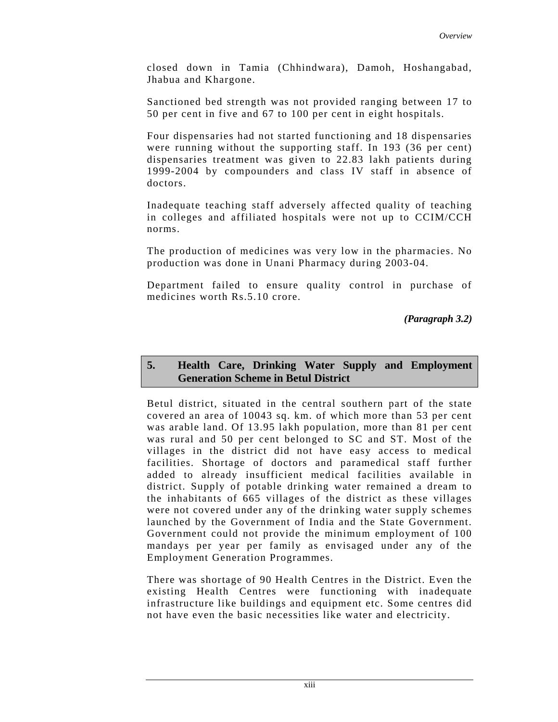closed down in Tamia (Chhindwara), Damoh, Hoshangabad, Jhabua and Khargone.

Sanctioned bed strength was not provided ranging between 17 to 50 per cent in five and 67 to 100 per cent in eight hospitals.

Four dispensaries had not started functioning and 18 dispensaries were running without the supporting staff. In 193 (36 per cent) dispensaries treatment was given to 22.83 lakh patients during 1999-2004 by compounders and class IV staff in absence of doctors.

Inadequate teaching staff adversely affected quality of teaching in colleges and affiliated hospitals were not up to CCIM/CCH norms.

The production of medicines was very low in the pharmacies. No production was done in Unani Pharmacy during 2003-04.

Department failed to ensure quality control in purchase of medicines worth Rs.5.10 crore.

*(Paragraph 3.2)* 

### **5. Health Care, Drinking Water Supply and Employment Generation Scheme in Betul District**

Betul district, situated in the central southern part of the state covered an area of 10043 sq. km. of which more than 53 per cent was arable land. Of 13.95 lakh population, more than 81 per cent was rural and 50 per cent belonged to SC and ST. Most of the villages in the district did not have easy access to medical facilities. Shortage of doctors and paramedical staff further added to already insufficient medical facilities available in district. Supply of potable drinking water remained a dream to the inhabitants of 665 villages of the district as these villages were not covered under any of the drinking water supply schemes launched by the Government of India and the State Government. Government could not provide the minimum employment of 100 mandays per year per family as envisaged under any of the Employment Generation Programmes.

There was shortage of 90 Health Centres in the District. Even the existing Health Centres were functioning with inadequate infrastructure like buildings and equipment etc. Some centres did not have even the basic necessities like water and electricity.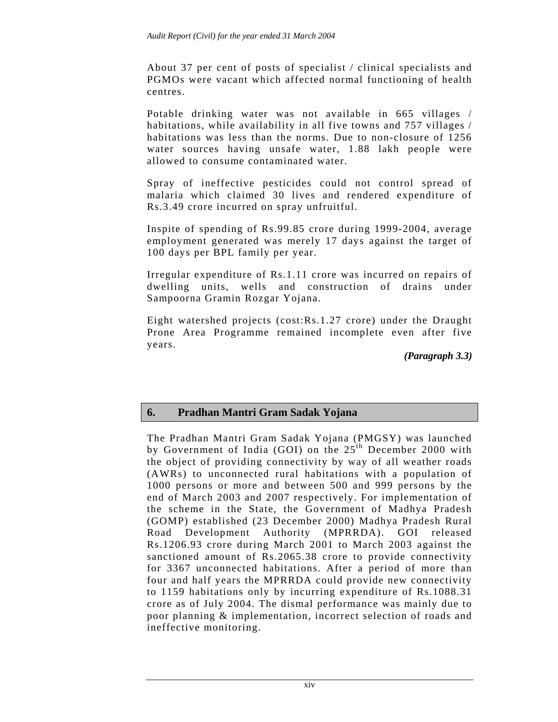About 37 per cent of posts of specialist / clinical specialists and PGMOs were vacant which affected normal functioning of health centres.

Potable drinking water was not available in 665 villages / habitations, while availability in all five towns and 757 villages / habitations was less than the norms. Due to non-closure of 1256 water sources having unsafe water, 1.88 lakh people were allowed to consume contaminated water.

Spray of ineffective pesticides could not control spread of malaria which claimed 30 lives and rendered expenditure of Rs.3.49 crore incurred on spray unfruitful.

Inspite of spending of Rs.99.85 crore during 1999-2004, average employment generated was merely 17 days against the target of 100 days per BPL family per year.

Irregular expenditure of Rs.1.11 crore was incurred on repairs of dwelling units, wells and construction of drains under Sampoorna Gramin Rozgar Yojana.

Eight watershed projects (cost:Rs.1.27 crore) under the Draught Prone Area Programme remained incomplete even after five years.

*(Paragraph 3.3)* 

# **6. Pradhan Mantri Gram Sadak Yojana**

The Pradhan Mantri Gram Sadak Yojana (PMGSY) was launched by Government of India (GOI) on the  $25<sup>th</sup>$  December 2000 with the object of providing connectivity by way of all weather roads (AWRs) to unconnected rural habitations with a population of 1000 persons or more and between 500 and 999 persons by the end of March 2003 and 2007 respectively. For implementation of the scheme in the State, the Government of Madhya Pradesh (GOMP) established (23 December 2000) Madhya Pradesh Rural Road Development Authority (MPRRDA). GOI released Rs.1206.93 crore during March 2001 to March 2003 against the sanctioned amount of Rs.2065.38 crore to provide connectivity for 3367 unconnected habitations. After a period of more than four and half years the MPRRDA could provide new connectivity to 1159 habitations only by incurring expenditure of Rs.1088.31 crore as of July 2004. The dismal performance was mainly due to poor planning & implementation, incorrect selection of roads and ineffective monitoring.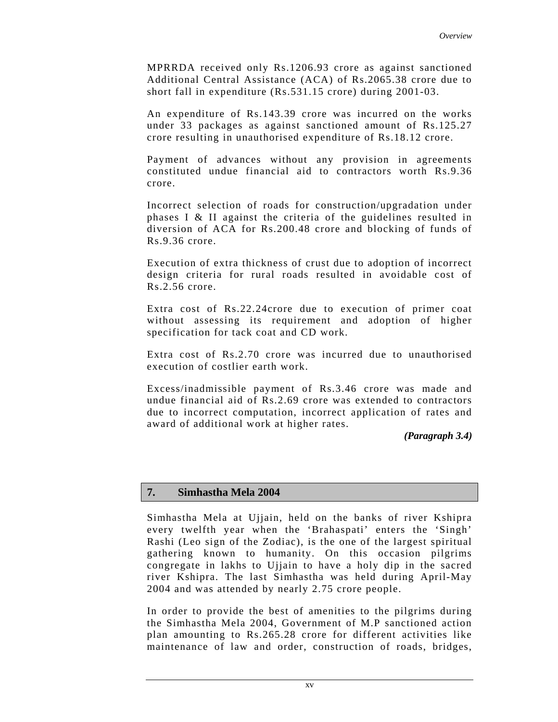MPRRDA received only Rs.1206.93 crore as against sanctioned Additional Central Assistance (ACA) of Rs.2065.38 crore due to short fall in expenditure (Rs.531.15 crore) during 2001-03.

An expenditure of Rs.143.39 crore was incurred on the works under 33 packages as against sanctioned amount of Rs.125.27 crore resulting in unauthorised expenditure of Rs.18.12 crore.

Payment of advances without any provision in agreements constituted undue financial aid to contractors worth Rs.9.36 crore.

Incorrect selection of roads for construction/upgradation under phases I & II against the criteria of the guidelines resulted in diversion of ACA for Rs.200.48 crore and blocking of funds of Rs.9.36 crore.

Execution of extra thickness of crust due to adoption of incorrect design criteria for rural roads resulted in avoidable cost of Rs.2.56 crore.

Extra cost of Rs.22.24crore due to execution of primer coat without assessing its requirement and adoption of higher specification for tack coat and CD work.

Extra cost of Rs.2.70 crore was incurred due to unauthorised execution of costlier earth work.

Excess/inadmissible payment of Rs.3.46 crore was made and undue financial aid of Rs.2.69 crore was extended to contractors due to incorrect computation, incorrect application of rates and award of additional work at higher rates.

*(Paragraph 3.4)* 

# **7. Simhastha Mela 2004**

Simhastha Mela at Ujjain, held on the banks of river Kshipra every twelfth year when the 'Brahaspati' enters the 'Singh' Rashi (Leo sign of the Zodiac), is the one of the largest spiritual gathering known to humanity. On this occasion pilgrims congregate in lakhs to Ujjain to have a holy dip in the sacred river Kshipra. The last Simhastha was held during April-May 2004 and was attended by nearly 2.75 crore people.

In order to provide the best of amenities to the pilgrims during the Simhastha Mela 2004, Government of M.P sanctioned action plan amounting to Rs.265.28 crore for different activities like maintenance of law and order, construction of roads, bridges,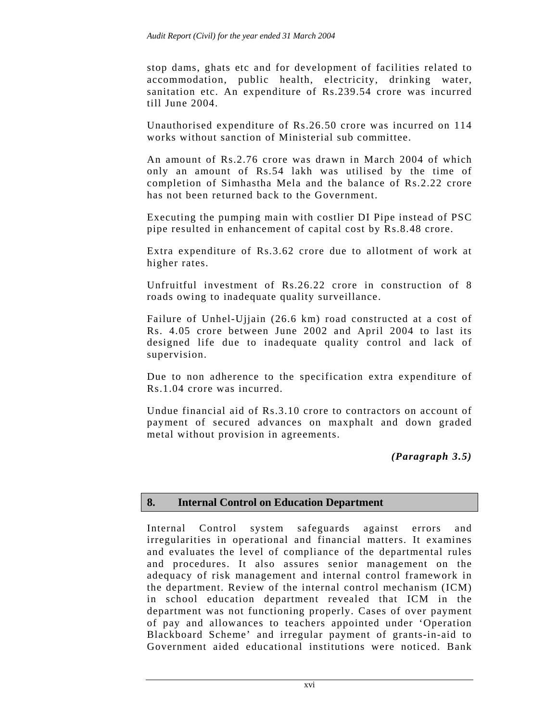stop dams, ghats etc and for development of facilities related to accommodation, public health, electricity, drinking water, sanitation etc. An expenditure of Rs.239.54 crore was incurred till June 2004.

Unauthorised expenditure of Rs.26.50 crore was incurred on 114 works without sanction of Ministerial sub committee.

An amount of Rs.2.76 crore was drawn in March 2004 of which only an amount of Rs.54 lakh was utilised by the time of completion of Simhastha Mela and the balance of Rs.2.22 crore has not been returned back to the Government.

Executing the pumping main with costlier DI Pipe instead of PSC pipe resulted in enhancement of capital cost by Rs.8.48 crore.

Extra expenditure of Rs.3.62 crore due to allotment of work at higher rates.

Unfruitful investment of Rs.26.22 crore in construction of 8 roads owing to inadequate quality surveillance.

Failure of Unhel-Ujjain (26.6 km) road constructed at a cost of Rs. 4.05 crore between June 2002 and April 2004 to last its designed life due to inadequate quality control and lack of supervision.

Due to non adherence to the specification extra expenditure of Rs.1.04 crore was incurred.

Undue financial aid of Rs.3.10 crore to contractors on account of payment of secured advances on maxphalt and down graded metal without provision in agreements.

*(Paragraph 3.5)* 

# **8. Internal Control on Education Department**

Internal Control system safeguards against errors and irregularities in operational and financial matters. It examines and evaluates the level of compliance of the departmental rules and procedures. It also assures senior management on the adequacy of risk management and internal control framework in the department. Review of the internal control mechanism (ICM) in school education department revealed that ICM in the department was not functioning properly. Cases of over payment of pay and allowances to teachers appointed under 'Operation Blackboard Scheme' and irregular payment of grants-in-aid to Government aided educational institutions were noticed. Bank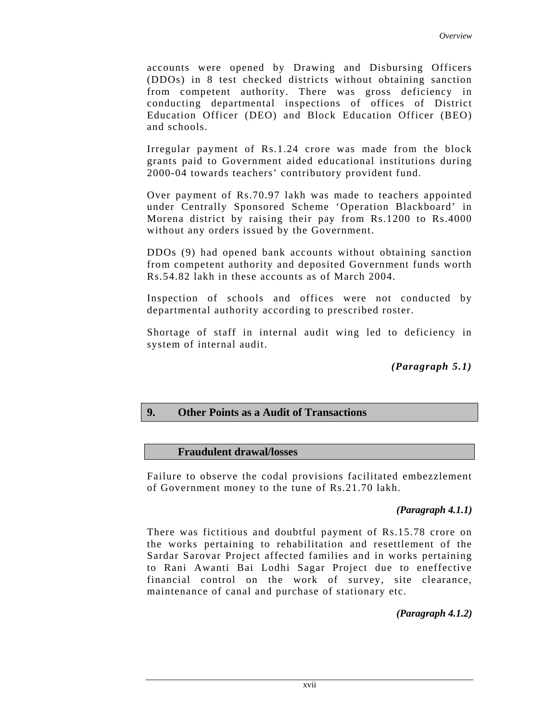accounts were opened by Drawing and Disbursing Officers (DDOs) in 8 test checked districts without obtaining sanction from competent authority. There was gross deficiency in conducting departmental inspections of offices of District Education Officer (DEO) and Block Education Officer (BEO) and schools.

Irregular payment of Rs.1.24 crore was made from the block grants paid to Government aided educational institutions during 2000-04 towards teachers' contributory provident fund.

Over payment of Rs.70.97 lakh was made to teachers appointed under Centrally Sponsored Scheme 'Operation Blackboard' in Morena district by raising their pay from Rs.1200 to Rs.4000 without any orders issued by the Government.

DDOs (9) had opened bank accounts without obtaining sanction from competent authority and deposited Government funds worth Rs.54.82 lakh in these accounts as of March 2004.

Inspection of schools and offices were not conducted by departmental authority according to prescribed roster.

Shortage of staff in internal audit wing led to deficiency in system of internal audit.

*(Paragraph 5.1)* 

#### **9. Other Points as a Audit of Transactions**

#### **Fraudulent drawal/losses**

Failure to observe the codal provisions facilitated embezzlement of Government money to the tune of Rs.21.70 lakh.

#### *(Paragraph 4.1.1)*

There was fictitious and doubtful payment of Rs.15.78 crore on the works pertaining to rehabilitation and resettlement of the Sardar Sarovar Project affected families and in works pertaining to Rani Awanti Bai Lodhi Sagar Project due to eneffective financial control on the work of survey, site clearance, maintenance of canal and purchase of stationary etc.

*(Paragraph 4.1.2)*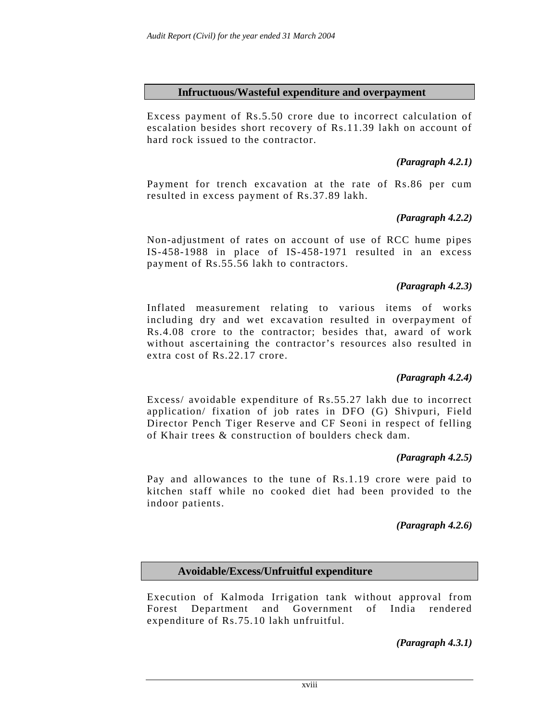### **Infructuous/Wasteful expenditure and overpayment**

Excess payment of Rs.5.50 crore due to incorrect calculation of escalation besides short recovery of Rs.11.39 lakh on account of hard rock issued to the contractor.

# *(Paragraph 4.2.1)*

Payment for trench excavation at the rate of Rs.86 per cum resulted in excess payment of Rs.37.89 lakh.

# *(Paragraph 4.2.2)*

Non-adjustment of rates on account of use of RCC hume pipes IS-458-1988 in place of IS-458-1971 resulted in an excess payment of Rs.55.56 lakh to contractors.

# *(Paragraph 4.2.3)*

Inflated measurement relating to various items of works including dry and wet excavation resulted in overpayment of Rs.4.08 crore to the contractor; besides that, award of work without ascertaining the contractor's resources also resulted in extra cost of Rs.22.17 crore.

# *(Paragraph 4.2.4)*

Excess/ avoidable expenditure of Rs.55.27 lakh due to incorrect application/ fixation of job rates in DFO (G) Shivpuri, Field Director Pench Tiger Reserve and CF Seoni in respect of felling of Khair trees & construction of boulders check dam.

# *(Paragraph 4.2.5)*

Pay and allowances to the tune of Rs.1.19 crore were paid to kitchen staff while no cooked diet had been provided to the indoor patients.

# *(Paragraph 4.2.6)*

# **Avoidable/Excess/Unfruitful expenditure**

Execution of Kalmoda Irrigation tank without approval from Forest Department and Government of India rendered expenditure of Rs.75.10 lakh unfruitful.

*(Paragraph 4.3.1)*